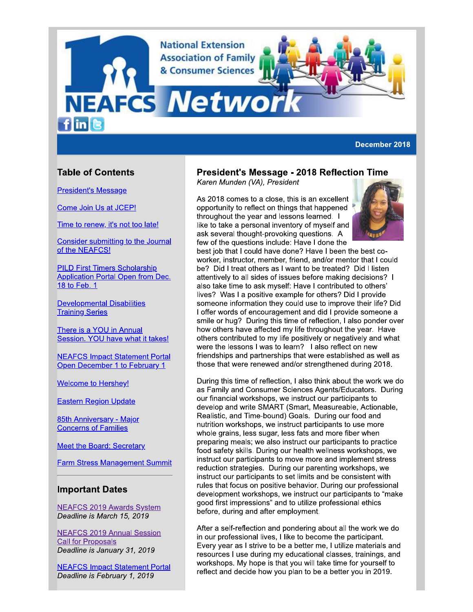**National Extension Association of Family** & Consumer Sciences

**NEAFCS Netwo**  $f$  in  $\epsilon$ 

December 2018

# **Table of Contents**

**President's Message** 

Come Join Us at JCEP!

Time to renew, it's not too late!

Consider submitting to the Journal of the NEAFCS!

**PILD First Timers Scholarship Application Portal Open from Dec.** 18 to Feb. 1

**Developmental Disabilities Training Series** 

There is a YOU in Annual Session. YOU have what it takes!

**NEAFCS Impact Statement Portal** Open December 1 to February 1

**Welcome to Hershey!** 

**Eastern Region Update** 

85th Anniversary - Major **Concerns of Families** 

**Meet the Board: Secretary** 

**Farm Stress Management Summit** 

### **Important Dates**

**NEAFCS 2019 Awards System** Deadline is March 15, 2019

**NEAFCS 2019 Annual Session Call for Proposals** Deadline is January 31, 2019

**NEAFCS Impact Statement Portal** Deadline is February 1, 2019

## **President's Message - 2018 Reflection Time**

Karen Munden (VA), President

As 2018 comes to a close, this is an excellent opportunity to reflect on things that happened throughout the year and lessons learned. I like to take a personal inventory of myself and ask several thought-provoking questions. A few of the questions include: Have I done the



best job that I could have done? Have I been the best coworker, instructor, member, friend, and/or mentor that I could be? Did I treat others as I want to be treated? Did I listen attentively to all sides of issues before making decisions? I also take time to ask myself: Have I contributed to others' lives? Was I a positive example for others? Did I provide someone information they could use to improve their life? Did I offer words of encouragement and did I provide someone a smile or hug? During this time of reflection, I also ponder over how others have affected my life throughout the year. Have others contributed to my life positively or negatively and what were the lessons I was to learn? I also reflect on new friendships and partnerships that were established as well as those that were renewed and/or strengthened during 2018.

During this time of reflection, I also think about the work we do as Family and Consumer Sciences Agents/Educators. During our financial workshops, we instruct our participants to develop and write SMART (Smart, Measureable, Actionable, Realistic, and Time-bound) Goals. During our food and nutrition workshops, we instruct participants to use more whole grains, less sugar, less fats and more fiber when preparing meals; we also instruct our participants to practice food safety skills. During our health wellness workshops, we instruct our participants to move more and implement stress reduction strategies. During our parenting workshops, we instruct our participants to set limits and be consistent with rules that focus on positive behavior. During our professional development workshops, we instruct our participants to "make good first impressions" and to utilize professional ethics before, during and after employment.

After a self-reflection and pondering about all the work we do in our professional lives. I like to become the participant. Every year as I strive to be a better me, I utilize materials and resources I use during my educational classes, trainings, and workshops. My hope is that you will take time for yourself to reflect and decide how you plan to be a better you in 2019.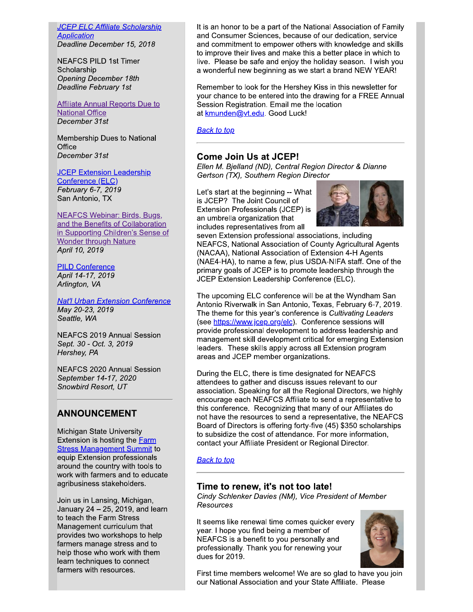**JCEP ELC Affiliate Scholarship Application** Deadline December 15, 2018

**NEAFCS PILD 1st Timer** Scholarship **Opening December 18th Deadline February 1st** 

### **Affiliate Annual Reports Due to National Office** December 31st

Membership Dues to National Office December 31st

**JCEP Extension Leadership** Conference (ELC) February 6-7, 2019 San Antonio, TX

**NEAFCS Webinar: Birds, Bugs,** and the Benefits of Collaboration in Supporting Children's Sense of **Wonder through Nature** April 10, 2019

### **PILD Conference** April 14-17, 2019 Arlington, VA

**Nat'l Urban Extension Conference** May 20-23, 2019 Seattle, WA

**NEAFCS 2019 Annual Session** Sept. 30 - Oct. 3, 2019 Hershey, PA

**NEAFCS 2020 Annual Session** September 14-17, 2020 Snowbird Resort, UT

# **ANNOUNCEMENT**

Michigan State University Extension is hosting the **Farm Stress Management Summit to** equip Extension professionals around the country with tools to work with farmers and to educate agribusiness stakeholders.

Join us in Lansing, Michigan, January 24 - 25, 2019, and learn to teach the Farm Stress Management curriculum that provides two workshops to help farmers manage stress and to help those who work with them learn techniques to connect farmers with resources.

It is an honor to be a part of the National Association of Family and Consumer Sciences, because of our dedication, service and commitment to empower others with knowledge and skills to improve their lives and make this a better place in which to live. Please be safe and enjoy the holiday season. I wish you a wonderful new beginning as we start a brand NEW YEAR!

Remember to look for the Hershey Kiss in this newsletter for your chance to be entered into the drawing for a FREE Annual Session Registration. Email me the location at kmunden@yt.edu. Good Luck!

**Back to top** 

# **Come Join Us at JCEP!**

Ellen M. Bjelland (ND), Central Region Director & Dianne Gertson (TX), Southern Region Director

Let's start at the beginning -- What is JCEP? The Joint Council of Extension Professionals (JCEP) is an umbrella organization that includes representatives from all



seven Extension professional associations, including NEAFCS, National Association of County Agricultural Agents (NACAA), National Association of Extension 4-H Agents (NAE4-HA), to name a few, plus USDA-NIFA staff. One of the primary goals of JCEP is to promote leadership through the JCEP Extension Leadership Conference (ELC).

The upcoming ELC conference will be at the Wyndham San Antonio Riverwalk in San Antonio, Texas, February 6-7, 2019. The theme for this year's conference is Cultivating Leaders (see https://www.jcep.org/elc). Conference sessions will provide professional development to address leadership and management skill development critical for emerging Extension leaders. These skills apply across all Extension program areas and JCEP member organizations.

During the ELC, there is time designated for NEAFCS attendees to gather and discuss issues relevant to our association. Speaking for all the Regional Directors, we highly encourage each NEAFCS Affiliate to send a representative to this conference. Recognizing that many of our Affiliates do not have the resources to send a representative, the NEAFCS Board of Directors is offering forty-five (45) \$350 scholarships to subsidize the cost of attendance. For more information, contact your Affiliate President or Regional Director.

### **Back to top**

## Time to renew, it's not too late!

Cindy Schlenker Davies (NM), Vice President of Member Resources

It seems like renewal time comes quicker every year. I hope you find being a member of NEAFCS is a benefit to you personally and professionally. Thank you for renewing your dues for 2019.



First time members welcome! We are so glad to have you join our National Association and your State Affiliate. Please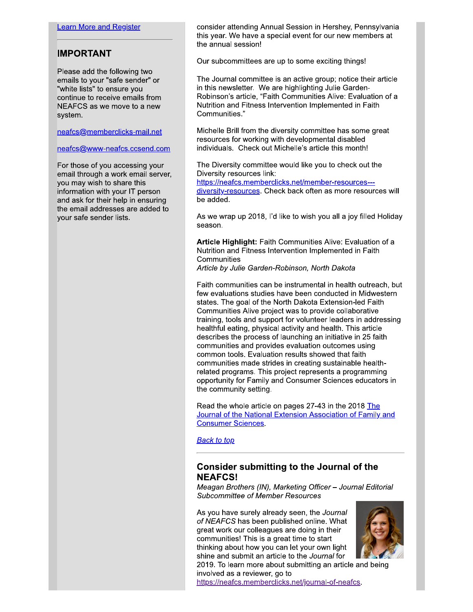## **IMPORTANT**

Please add the following two emails to your "safe sender" or "white lists" to ensure you continue to receive emails from NEAFCS as we move to a new system.

neafcs@memberclicks-mail.net

### neafcs@www-neafcs.ccsend.com

For those of you accessing your email through a work email server, you may wish to share this information with your IT person and ask for their help in ensuring the email addresses are added to your safe sender lists.

consider attending Annual Session in Hershey, Pennsylvania this year. We have a special event for our new members at the annual session!

Our subcommittees are up to some exciting things!

The Journal committee is an active group; notice their article in this newsletter. We are highlighting Julie Garden-Robinson's article, "Faith Communities Alive: Evaluation of a Nutrition and Fitness Intervention Implemented in Faith Communities."

Michelle Brill from the diversity committee has some great resources for working with developmental disabled individuals. Check out Michelle's article this month!

The Diversity committee would like you to check out the Diversity resources link:

https://neafcs.memberclicks.net/member-resources--diversity-resources. Check back often as more resources will be added.

As we wrap up 2018, I'd like to wish you all a joy filled Holiday season.

Article Highlight: Faith Communities Alive: Evaluation of a Nutrition and Fitness Intervention Implemented in Faith Communities

Article by Julie Garden-Robinson, North Dakota

Faith communities can be instrumental in health outreach, but few evaluations studies have been conducted in Midwestern states. The goal of the North Dakota Extension-led Faith Communities Alive project was to provide collaborative training, tools and support for volunteer leaders in addressing healthful eating, physical activity and health. This article describes the process of launching an initiative in 25 faith communities and provides evaluation outcomes using common tools. Evaluation results showed that faith communities made strides in creating sustainable healthrelated programs. This project represents a programming opportunity for Family and Consumer Sciences educators in the community setting.

Read the whole article on pages 27-43 in the 2018 The Journal of the National Extension Association of Family and **Consumer Sciences** 

**Back to top** 

# **Consider submitting to the Journal of the NEAFCS!**

Meagan Brothers (IN), Marketing Officer - Journal Editorial **Subcommittee of Member Resources** 

As you have surely already seen, the Journal of NEAFCS has been published online. What great work our colleagues are doing in their communities! This is a great time to start thinking about how you can let your own light shine and submit an article to the Journal for



2019. To learn more about submitting an article and being involved as a reviewer, go to

https://neafcs.memberclicks.net/journal-of-neafcs.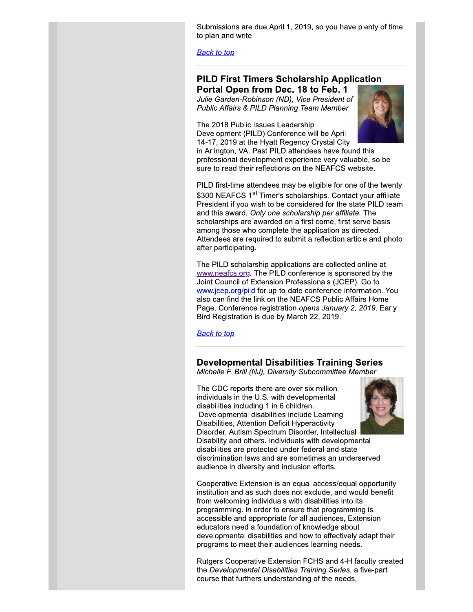Submissions are que Aprii 1, 2019, so you have pienty of time to pian and write.

**Back to top** 

Public Affairs & PILD Planning Team Member

The 2018 Public Issues Leadership Development (PILD) Conference Will be April  $14-17$ , 2019 at the Hyatt Regency Crystal City

Submissions are due April 1, 2019, so you have plenty of<br>
to plan and write.<br>
Back to top<br>
<br> **PILD First Timers Scholarship Application**<br> **Portal Open from Dec. 18 to Feb. 1**<br>
Julie Garden-Robinson (ND), Vice President of<br> in Arlington, VA. Past PILD attendees have found this  $\overline{\phantom{a}}$ professional development experience very valuable, so be sure to read their reflections on the NEAFCS website.  $\overline{a}$ 

PILD first-time attendees may be eligible for one of the twenty \$300 NEAFCS 1<sup>st</sup> Timer's scholarships. Contact your affiliate President if you wish to be considered for the state PILD team and this award. Only one scholarship per affiliate. The scholarships are awarded on a first come, first serve basis among those who complete the application as directed.  $\overline{\phantom{a}}$ Attendees are required to submit a reflection article and photo aπer participating.

The PILD scholarship applications are collected online at www.nearcs.org. The PILD conference is sponsored by the Joint Council of Extension Professionals  $(\mathsf{JCEP})$ . Go to www.jcep.org/plid for up-to-date conference information. You ` op
qf\_-`
 j Page. Conference registration *opens January 2, 2019*. Early Bird Registration is due by March 22, 2019.  $\,$ 

Michelle F. Brill (NJ), Diversity Subcommittee Member

Www.ileants.org/. The Pricial connection is sponsored by the<br>
Joint Council of Extension Professionals (JCEP). Go to<br>
www.jcep.org/pild for up-to-date conference information. Yo<br>
also can find the link on the NEAFCS Public The CDC reports there are over  $s$  ix million individuals in the U.S. with developmental disabilities including 1 in 6 children.<br>— Developmental disabilities include Learning Disabilities, Attention Deficit Hyperactivity<br>-Disorder, Autism Spectrum Disorder, intellectual ∎ Disability and others. Individuals with developmental disabilities are protected under federal and state discrimination laws and are sometimes an underserved

audience in diversity and inclusion efforts.

Cooperative Extension is an equal access/equal opportunity institution and as such does not exclude, and would benefit from welcoming individuals with disabilities into its programming. In order to ensure that programming is accessible and appropriate for all audiences, Extension equeators need a foundation of knowledge about developmental disabilities and how to effectively adapt their programs to meet their audiences learning needs.

Rutgers Cooperative Extension FCHS and 4-H faculty created the *Developmental Disabilities Training Series*, a five-part course that furthers understanding of the needs,

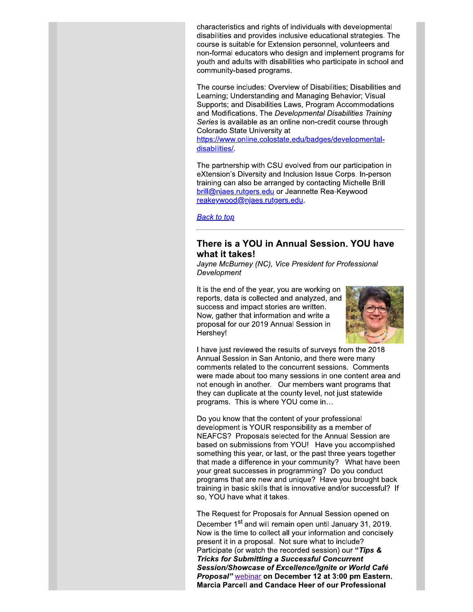characteristics and rights of individuals with developmental disabilities and provides inclusive educational strategies. The course is suitable for Extension personnel, volunteers and non-formal educators who design and implement programs for youth and adults with disabilities who participate in school and community-based programs.

The course includes: Overview of Disabilities; Disabilities and Learning: Understanding and Managing Behavior: Visual Supports; and Disabilities Laws, Program Accommodations and Modifications. The Developmental Disabilities Training Series is available as an online non-credit course through Colorado State University at

https://www.online.colostate.edu/badges/developmentaldisabilities/

The partnership with CSU evolved from our participation in eXtension's Diversity and Inclusion Issue Corps. In-person training can also be arranged by contacting Michelle Brill brill@njaes.rutgers.edu or Jeannette Rea-Keywood reakeywood@njaes.rutgers.edu.

**Back to top** 

## There is a YOU in Annual Session. YOU have what it takes!

Jayne McBurney (NC), Vice President for Professional Development

It is the end of the year, you are working on reports, data is collected and analyzed, and success and impact stories are written. Now, gather that information and write a proposal for our 2019 Annual Session in Hershev!



I have just reviewed the results of surveys from the 2018 Annual Session in San Antonio, and there were many comments related to the concurrent sessions. Comments were made about too many sessions in one content area and not enough in another. Our members want programs that they can duplicate at the county level, not just statewide programs. This is where YOU come in...

Do you know that the content of your professional development is YOUR responsibility as a member of NEAFCS? Proposals selected for the Annual Session are based on submissions from YOU! Have you accomplished something this year, or last, or the past three years together that made a difference in your community? What have been your great successes in programming? Do you conduct programs that are new and unique? Have you brought back training in basic skills that is innovative and/or successful? If so, YOU have what it takes.

The Request for Proposals for Annual Session opened on December 1<sup>st</sup> and will remain open until January 31, 2019. Now is the time to collect all your information and concisely present it in a proposal. Not sure what to include? Participate (or watch the recorded session) our "Tips & **Tricks for Submitting a Successful Concurrent** Session/Showcase of Excellence/Ignite or World Café Proposal" webinar on December 12 at 3:00 pm Eastern. Marcia Parcell and Candace Heer of our Professional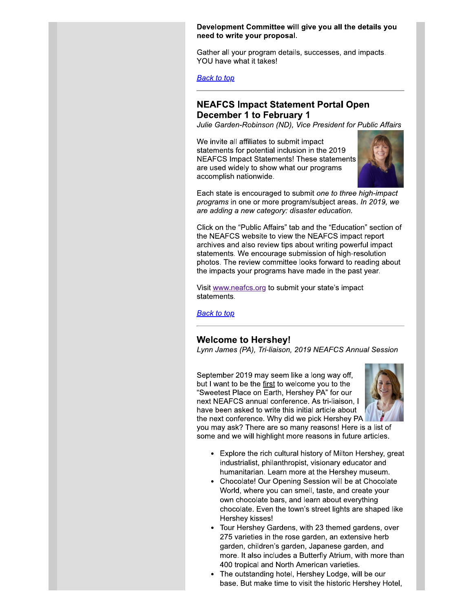### Development Committee will give you all the details you need to write your proposal.

Gather all your program details, successes, and impacts. YOU have what it takes!

**Back to top** 

# **NEAFCS Impact Statement Portal Open December 1 to February 1**

Julie Garden-Robinson (ND), Vice President for Public Affairs

We invite all affiliates to submit impact statements for potential inclusion in the 2019 **NEAFCS Impact Statements! These statements** are used widely to show what our programs accomplish nationwide.



Each state is encouraged to submit one to three high-impact programs in one or more program/subject areas. In 2019, we are adding a new category: disaster education.

Click on the "Public Affairs" tab and the "Education" section of the NEAFCS website to view the NEAFCS impact report archives and also review tips about writing powerful impact statements. We encourage submission of high-resolution photos. The review committee looks forward to reading about the impacts your programs have made in the past year.

Visit www.neafcs.org to submit your state's impact statements.

**Back to top** 

### **Welcome to Hershey!**

Lynn James (PA), Tri-liaison, 2019 NEAFCS Annual Session

September 2019 may seem like a long way off. but I want to be the first to welcome you to the "Sweetest Place on Earth, Hershey PA" for our next NEAFCS annual conference. As tri-liaison, I have been asked to write this initial article about the next conference. Why did we pick Hershey PA



you may ask? There are so many reasons! Here is a list of some and we will highlight more reasons in future articles.

- Explore the rich cultural history of Milton Hershey, great industrialist, philanthropist, visionary educator and humanitarian. Learn more at the Hershey museum.
- Chocolate! Our Opening Session will be at Chocolate World, where you can smell, taste, and create your own chocolate bars, and learn about everything chocolate. Even the town's street lights are shaped like Hershey kisses!
- Tour Hershey Gardens, with 23 themed gardens, over 275 varieties in the rose garden, an extensive herb garden, children's garden, Japanese garden, and more. It also includes a Butterfly Atrium, with more than 400 tropical and North American varieties.
- The outstanding hotel, Hershey Lodge, will be our base. But make time to visit the historic Hershey Hotel,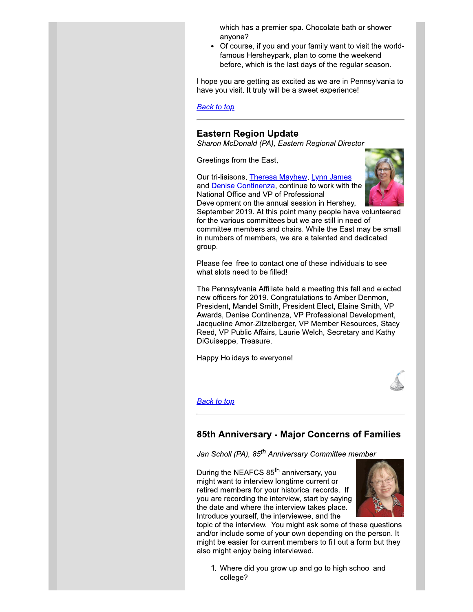which has a premier spa. Chocolate bath or shower anvone?

Of course, if you and your family want to visit the worldfamous Hersheypark, plan to come the weekend before, which is the last days of the regular season.

I hope you are getting as excited as we are in Pennsylvania to have you visit. It truly will be a sweet experience!

**Back to top** 

## **Eastern Region Update**

Sharon McDonald (PA), Eastern Regional Director

Greetings from the East,

Our tri-liaisons, Theresa Mayhew, Lynn James and **Denise Continenza**, continue to work with the National Office and VP of Professional



Development on the annual session in Hershey, September 2019. At this point many people have volunteered for the various committees but we are still in need of committee members and chairs. While the East may be small in numbers of members, we are a talented and dedicated group.

Please feel free to contact one of these individuals to see what slots need to be filled!

The Pennsylvania Affiliate held a meeting this fall and elected new officers for 2019. Congratulations to Amber Denmon, President, Mandel Smith, President Elect, Elaine Smith, VP Awards, Denise Continenza, VP Professional Development, Jacqueline Amor-Zitzelberger, VP Member Resources, Stacy Reed, VP Public Affairs, Laurie Welch, Secretary and Kathy DiGuiseppe, Treasure.

Happy Holidays to everyone!



### <u>Back to top</u>

## 85th Anniversary - Major Concerns of Families

Jan Scholl (PA), 85<sup>th</sup> Anniversary Committee member

During the NEAFCS 85<sup>th</sup> anniversary, you might want to interview longtime current or retired members for your historical records. If you are recording the interview, start by saying the date and where the interview takes place. Introduce yourself, the interviewee, and the



topic of the interview. You might ask some of these questions and/or include some of your own depending on the person. It might be easier for current members to fill out a form but they also might enjoy being interviewed.

1. Where did you grow up and go to high school and college?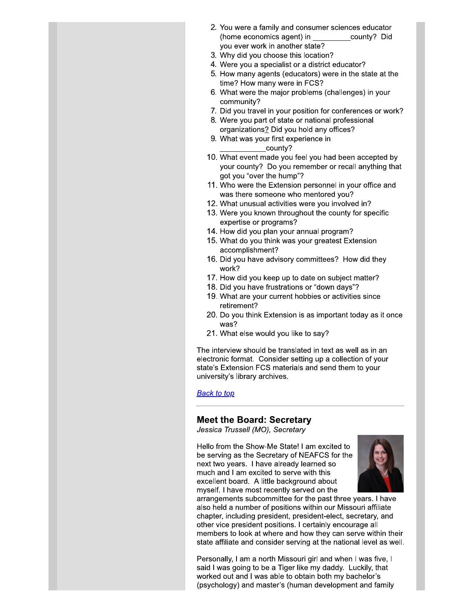- 2. You were a family and consumer sciences educator (home economics agent) in county? Did you ever work in another state?
- 3. Why did you choose this location?
- 4. Were you a specialist or a district educator?
- 5. How many agents (educators) were in the state at the time? How many were in FCS?
- 6. What were the major problems (challenges) in your community?
- 7. Did you travel in your position for conferences or work?
- 8. Were you part of state or national professional organizations? Did you hold any offices?
- 9. What was your first experience in county?
- 10. What event made you feel you had been accepted by your county? Do you remember or recall anything that got you "over the hump"?
- 11. Who were the Extension personnel in your office and was there someone who mentored you?
- 12. What unusual activities were you involved in?
- 13. Were you known throughout the county for specific expertise or programs?
- 14. How did you plan your annual program?
- 15. What do you think was your greatest Extension accomplishment?
- 16. Did you have advisory committees? How did they work?
- 17. How did you keep up to date on subject matter?
- 18. Did you have frustrations or "down days"?
- 19. What are your current hobbies or activities since retirement?
- 20. Do you think Extension is as important today as it once was?
- 21. What else would you like to say?

The interview should be translated in text as well as in an electronic format. Consider setting up a collection of your state's Extension FCS materials and send them to your university's library archives.

### **Back to top**

### **Meet the Board: Secretary**

Jessica Trussell (MO), Secretary

Hello from the Show-Me State! I am excited to be serving as the Secretary of NEAFCS for the next two years. I have already learned so much and I am excited to serve with this excellent board. A little background about myself. I have most recently served on the



arrangements subcommittee for the past three years. I have also held a number of positions within our Missouri affiliate chapter, including president, president-elect, secretary, and other vice president positions. I certainly encourage all members to look at where and how they can serve within their state affiliate and consider serving at the national level as well.

Personally, I am a north Missouri girl and when I was five, I said I was going to be a Tiger like my daddy. Luckily, that worked out and I was able to obtain both my bachelor's (psychology) and master's (human development and family